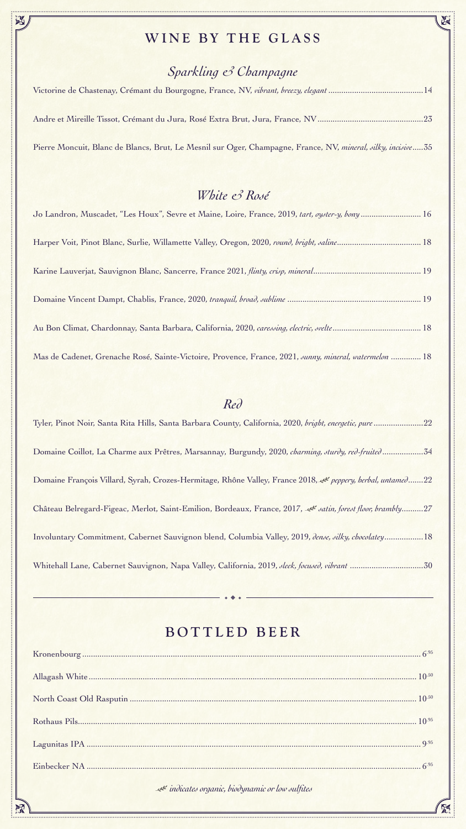

### *Sparkling & Champagne*

Victorine de Chastenay, Crémant du Bourgogne, France, NV, *vibrant, breezy, elegant* ............................................14

Andre et Mireille Tissot, Crémant du Jura, Rosé Extra Brut, Jura, France, NV.................................................23

Pierre Moncuit, Blanc de Blancs, Brut, Le Mesnil sur Oger, Champagne, France, NV, *mineral, silky, incisive*.....35

#### *White & Rosé*

| Jo Landron, Muscadet, "Les Houx", Sevre et Maine, Loire, France, 2019, tart, oyster-y, bony 16               |
|--------------------------------------------------------------------------------------------------------------|
| Harper Voit, Pinot Blanc, Surlie, Willamette Valley, Oregon, 2020, round, bright, saline 18                  |
|                                                                                                              |
|                                                                                                              |
|                                                                                                              |
| Mas de Cadenet, Grenache Rosé, Sainte-Victoire, Provence, France, 2021, <i>sunny, mineral, watermelon</i> 18 |

Tyler, Pinot Noir, Santa Rita Hills, Santa Barbara County, California, 2020, *bright, energetic, pure*.......................22

Domaine Coillot, La Charme aux Prêtres, Marsannay, Burgundy, 2020, *charming, sturdy, red-fruited*...................34

Domaine François Villard, Syrah, Crozes-Hermitage, Rhône Valley, France 2018, *peppery, herbal, untamed*.......22

Château Belregard-Figeac, Merlot, Saint-Emilion, Bordeaux, France, 2017, *satin, forest floor, brambly*..........27

Involuntary Commitment, Cabernet Sauvignon blend, Columbia Valley, 2019, *dense, silky, chocolatey*..................18

Whitehall Lane, Cabernet Sauvignon, Napa Valley, California, 2019, *sleek, focused, vibrant* ..................................30

### WINE BY THE GLASS

#### BOTTLED BEER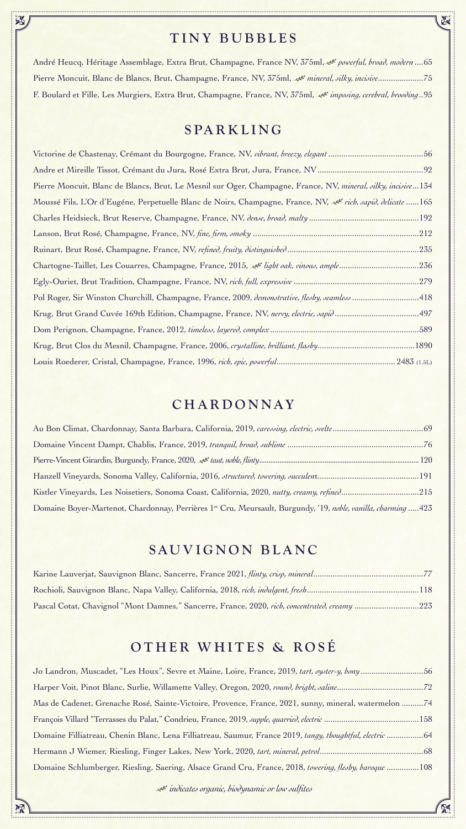#### TINY BUBBLES

 $\sum_{i=1}^{n}$ 

André Heucq, Héritage Assemblage, Extra Brut, Champagne, France NV, 375ml, et powerful, broad, modern ....65 Pierre Moncuit, Blanc de Blancs, Brut, Champagne, France, NV, 375ml, *mineral, silky, incisive*.....................75 F. Boulard et Fille, Les Murgiers, Extra Brut, Champagne, France, NV, 375ml, *imposing, cerebral, brooding*..95

#### SPARKLING

| Kistler Vineyards, Les Noisetiers, Sonoma Coast, California, 2020, nutty, creamy, refined215                   |  |
|----------------------------------------------------------------------------------------------------------------|--|
| Domaine Boyer-Martenot, Chardonnay, Perrières 1er Cru, Meursault, Burgundy, '19, noble, vanilla, charming  423 |  |

Victorine de Chastenay, Crémant du Bourgogne, France, NV, *vibrant, breezy, elegant* ............................................56 Andre et Mireille Tissot, Crémant du Jura, Rosé Extra Brut, Jura, France, NV.................................................92 Pierre Moncuit, Blanc de Blancs, Brut, Le Mesnil sur Oger, Champagne, France, NV, *mineral, silky, incisive*...134 Moussé Fils, L'Or d'Eugéne, Perpetuelle Blanc de Noirs, Champagne, France, NV, <sup>et</sup> rich, sapid, delicate ......165 Charles Heidsieck, Brut Reserve, Champagne, France, NV, *dense, broad, malty* ...................................................192 Lanson, Brut Rosé, Champagne, France, NV, *fine, firm, smoky* .............................................................................212 Ruinart, Brut Rosé, Champagne, France, NV, *refined, fruity, distinguished* .............................................................235 Chartogne-Taillet, Les Couarres, Champagne, France, 2015, et light oak, vinous, ample..............................236 Egly-Ouriet, Brut Tradition, Champagne, France, NV, *rich, full, expressive* ..........................................................279 Pol Roger, Sir Winston Churchill, Champagne, France, 2009, *demonstrative, fleshy, seamless*..............................418 Krug, Brut Grand Cuvée 169th Edition, Champagne, France, NV, *nervy, electric, sapid* .......................................497 Dom Perignon, Champagne, France, 2012, *timeless, layered, complex*.....................................................................589 Krug, Brut Clos du Mesnil, Champagne, France, 2006, *crystalline, brilliant, flashy*.............................................1890 Louis Roederer, Cristal, Champagne, France, 1996, *rich, epic, powerful*....................................................... 2483 (1.5L)

#### CHARDONNAY

#### SAUVIGNON BLANC

| Pascal Cotat, Chavignol "Mont Damnes," Sancerre, France, 2020, rich, concentrated, creamy223 |  |
|----------------------------------------------------------------------------------------------|--|

#### OTHER WHITES & ROSÉ

| Jo Landron, Muscadet, "Les Houx", Sevre et Maine, Loire, France, 2019, tart, oyster-y, bony56            |  |
|----------------------------------------------------------------------------------------------------------|--|
|                                                                                                          |  |
| Mas de Cadenet, Grenache Rosé, Sainte-Victoire, Provence, France, 2021, sunny, mineral, watermelon 74    |  |
|                                                                                                          |  |
| Domaine Filliatreau, Chenin Blanc, Lena Filliatreau, Saumur, France 2019, tangy, thoughtful, electric 64 |  |
|                                                                                                          |  |
| Domaine Schlumberger, Riesling, Saering, Alsace Grand Cru, France, 2018, towering, fleshy, baroque 108   |  |

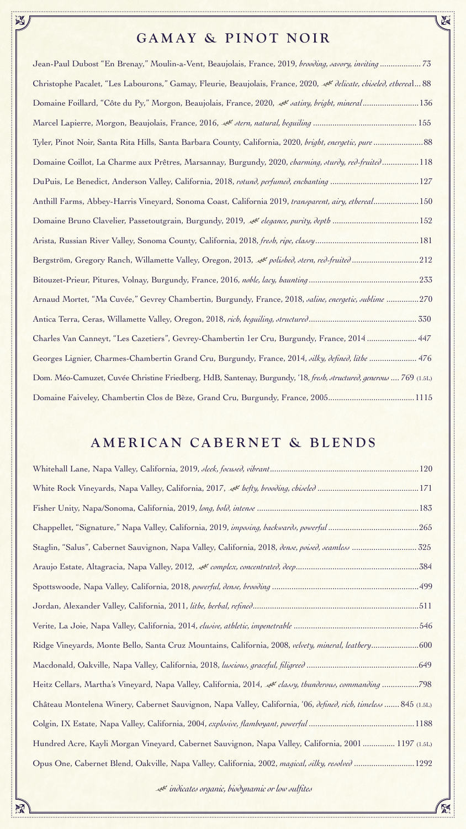

# GAMAY & PINOT NOIR

 $\sum_{i=1}^{n}$ 

| Ohristophe Pacalet, "Les Labourons," Gamay, Fleurie, Beaujolais, France, 2020, et delicate, chiseled, ethereal 88  |
|--------------------------------------------------------------------------------------------------------------------|
| Domaine Foillard, "Côte du Py," Morgon, Beaujolais, France, 2020, et satiny, bright, mineral136                    |
|                                                                                                                    |
|                                                                                                                    |
| Domaine Coillot, La Charme aux Prêtres, Marsannay, Burgundy, 2020, <i>charming, sturdy, red-fruited</i> 118        |
|                                                                                                                    |
| Anthill Farms, Abbey-Harris Vineyard, Sonoma Coast, California 2019, transparent, airy, ethereal150                |
|                                                                                                                    |
|                                                                                                                    |
|                                                                                                                    |
|                                                                                                                    |
| Arnaud Mortet, "Ma Cuvée," Gevrey Chambertin, Burgundy, France, 2018, saline, energetic, sublime 270               |
|                                                                                                                    |
| Charles Van Canneyt, "Les Cazetiers", Gevrey-Chambertin 1er Cru, Burgundy, France, 2014  447                       |
| Georges Lignier, Charmes-Chambertin Grand Cru, Burgundy, France, 2014, silky, defined, lithe  476                  |
| Dom. Méo-Camuzet, Cuvée Christine Friedberg, HdB, Santenay, Burgundy, '18, fresh, structured, generous  769 (1.5L) |

|  |  |  | Domaine Faiveley, Chambertin Clos de Bèze, Grand Cru, Burgundy, France, 20051115 |
|--|--|--|----------------------------------------------------------------------------------|
|--|--|--|----------------------------------------------------------------------------------|

### AMERICAN CABERNET & BLENDS

| Staglin, "Salus", Cabernet Sauvignon, Napa Valley, California, 2018, Jense, poised, seamless  325                                     |
|---------------------------------------------------------------------------------------------------------------------------------------|
|                                                                                                                                       |
|                                                                                                                                       |
|                                                                                                                                       |
|                                                                                                                                       |
| Ridge Vineyards, Monte Bello, Santa Cruz Mountains, California, 2008, velvety, mineral, leathery600                                   |
|                                                                                                                                       |
| Heitz Cellars, Martha's Vineyard, Napa Valley, California, 2014, et classy, thunderous, commanding 798                                |
| Château Montelena Winery, Cabernet Sauvignon, Napa Valley, California, '06, <i>defined</i> , <i>rich</i> , <i>timeless</i> 845 (1.5L) |
|                                                                                                                                       |
| Hundred Acre, Kayli Morgan Vineyard, Cabernet Sauvignon, Napa Valley, California, 2001  1197 (1.5L)                                   |
| Opus One, Cabernet Blend, Oakville, Napa Valley, California, 2002, magical, silky, resolved 1292                                      |